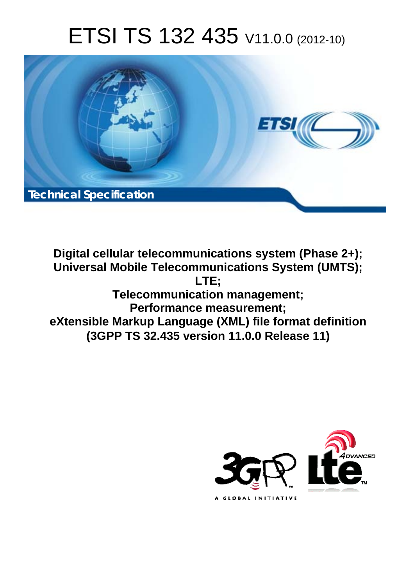# ETSI TS 132 435 V11.0.0 (2012-10)



**Digital cellular telecommunications system (Phase 2+); Universal Mobile Telecommunications System (UMTS); LTE; Telecommunication management; Performance measurement; eXtensible Markup Language (XML) file format definition (3GPP TS 32.435 version 11.0.0 Release 11)** 

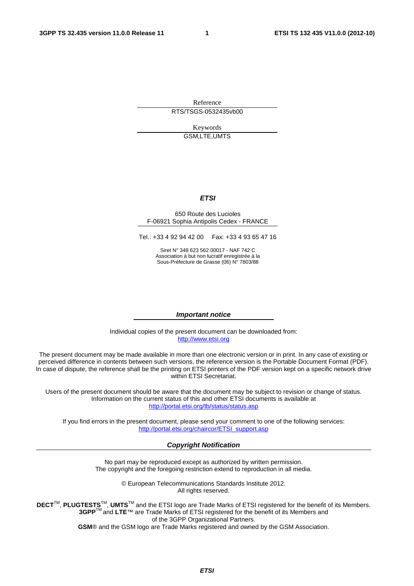Reference RTS/TSGS-0532435vb00

> Keywords GSM,LTE,UMTS

#### *ETSI*

#### 650 Route des Lucioles F-06921 Sophia Antipolis Cedex - FRANCE

Tel.: +33 4 92 94 42 00 Fax: +33 4 93 65 47 16

Siret N° 348 623 562 00017 - NAF 742 C Association à but non lucratif enregistrée à la Sous-Préfecture de Grasse (06) N° 7803/88

#### *Important notice*

Individual copies of the present document can be downloaded from: [http://www.etsi.org](http://www.etsi.org/)

The present document may be made available in more than one electronic version or in print. In any case of existing or perceived difference in contents between such versions, the reference version is the Portable Document Format (PDF). In case of dispute, the reference shall be the printing on ETSI printers of the PDF version kept on a specific network drive within ETSI Secretariat.

Users of the present document should be aware that the document may be subject to revision or change of status. Information on the current status of this and other ETSI documents is available at <http://portal.etsi.org/tb/status/status.asp>

If you find errors in the present document, please send your comment to one of the following services: [http://portal.etsi.org/chaircor/ETSI\\_support.asp](http://portal.etsi.org/chaircor/ETSI_support.asp)

#### *Copyright Notification*

No part may be reproduced except as authorized by written permission. The copyright and the foregoing restriction extend to reproduction in all media.

> © European Telecommunications Standards Institute 2012. All rights reserved.

**DECT**TM, **PLUGTESTS**TM, **UMTS**TM and the ETSI logo are Trade Marks of ETSI registered for the benefit of its Members. **3GPP**TM and **LTE**™ are Trade Marks of ETSI registered for the benefit of its Members and of the 3GPP Organizational Partners.

**GSM**® and the GSM logo are Trade Marks registered and owned by the GSM Association.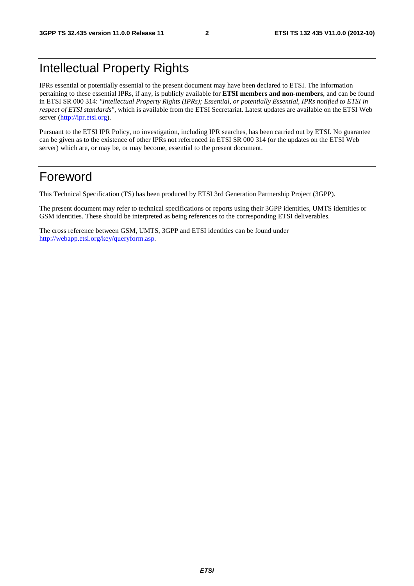### Intellectual Property Rights

IPRs essential or potentially essential to the present document may have been declared to ETSI. The information pertaining to these essential IPRs, if any, is publicly available for **ETSI members and non-members**, and can be found in ETSI SR 000 314: *"Intellectual Property Rights (IPRs); Essential, or potentially Essential, IPRs notified to ETSI in respect of ETSI standards"*, which is available from the ETSI Secretariat. Latest updates are available on the ETSI Web server [\(http://ipr.etsi.org](http://webapp.etsi.org/IPR/home.asp)).

Pursuant to the ETSI IPR Policy, no investigation, including IPR searches, has been carried out by ETSI. No guarantee can be given as to the existence of other IPRs not referenced in ETSI SR 000 314 (or the updates on the ETSI Web server) which are, or may be, or may become, essential to the present document.

#### Foreword

This Technical Specification (TS) has been produced by ETSI 3rd Generation Partnership Project (3GPP).

The present document may refer to technical specifications or reports using their 3GPP identities, UMTS identities or GSM identities. These should be interpreted as being references to the corresponding ETSI deliverables.

The cross reference between GSM, UMTS, 3GPP and ETSI identities can be found under <http://webapp.etsi.org/key/queryform.asp>.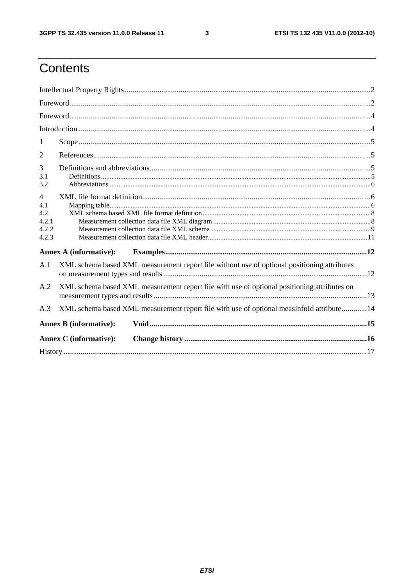$\mathbf{3}$ 

### Contents

| -1                                                      |                                                                                             |                                                                                             |  |  |  |
|---------------------------------------------------------|---------------------------------------------------------------------------------------------|---------------------------------------------------------------------------------------------|--|--|--|
| 2                                                       |                                                                                             |                                                                                             |  |  |  |
| 3<br>3.1<br>3.2                                         |                                                                                             |                                                                                             |  |  |  |
| $\overline{4}$<br>4.1<br>4.2<br>4.2.1<br>4.2.2<br>4.2.3 |                                                                                             |                                                                                             |  |  |  |
|                                                         | <b>Annex A (informative):</b>                                                               |                                                                                             |  |  |  |
| A.1                                                     |                                                                                             | XML schema based XML measurement report file without use of optional positioning attributes |  |  |  |
| A.2                                                     | XML schema based XML measurement report file with use of optional positioning attributes on |                                                                                             |  |  |  |
| A.3                                                     |                                                                                             | XML schema based XML measurement report file with use of optional measInfoId attribute14    |  |  |  |
|                                                         | <b>Annex B</b> (informative):                                                               |                                                                                             |  |  |  |
|                                                         | <b>Annex C</b> (informative):                                                               |                                                                                             |  |  |  |
|                                                         |                                                                                             |                                                                                             |  |  |  |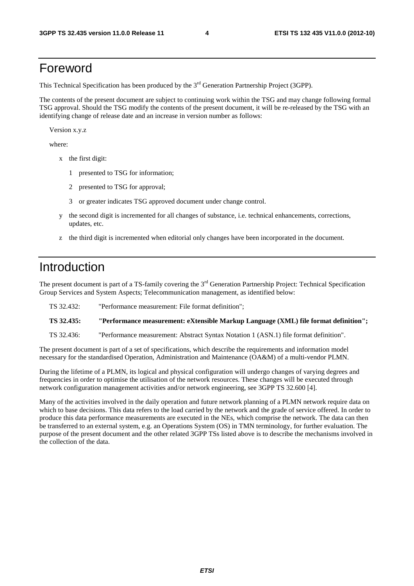#### Foreword

This Technical Specification has been produced by the 3<sup>rd</sup> Generation Partnership Project (3GPP).

The contents of the present document are subject to continuing work within the TSG and may change following formal TSG approval. Should the TSG modify the contents of the present document, it will be re-released by the TSG with an identifying change of release date and an increase in version number as follows:

Version x.y.z

where:

- x the first digit:
	- 1 presented to TSG for information;
	- 2 presented to TSG for approval;
	- 3 or greater indicates TSG approved document under change control.
- y the second digit is incremented for all changes of substance, i.e. technical enhancements, corrections, updates, etc.
- z the third digit is incremented when editorial only changes have been incorporated in the document.

#### Introduction

The present document is part of a TS-family covering the 3<sup>rd</sup> Generation Partnership Project: Technical Specification Group Services and System Aspects; Telecommunication management, as identified below:

| TS 32.432: | "Performance measurement: File format definition":                                  |
|------------|-------------------------------------------------------------------------------------|
| TS 32.435: | "Performance measurement: eXtensible Markup Language (XML) file format definition"; |
|            |                                                                                     |

TS 32.436: "Performance measurement: Abstract Syntax Notation 1 (ASN.1) file format definition".

The present document is part of a set of specifications, which describe the requirements and information model necessary for the standardised Operation, Administration and Maintenance (OA&M) of a multi-vendor PLMN.

During the lifetime of a PLMN, its logical and physical configuration will undergo changes of varying degrees and frequencies in order to optimise the utilisation of the network resources. These changes will be executed through network configuration management activities and/or network engineering, see 3GPP TS 32.600 [4].

Many of the activities involved in the daily operation and future network planning of a PLMN network require data on which to base decisions. This data refers to the load carried by the network and the grade of service offered. In order to produce this data performance measurements are executed in the NEs, which comprise the network. The data can then be transferred to an external system, e.g. an Operations System (OS) in TMN terminology, for further evaluation. The purpose of the present document and the other related 3GPP TSs listed above is to describe the mechanisms involved in the collection of the data.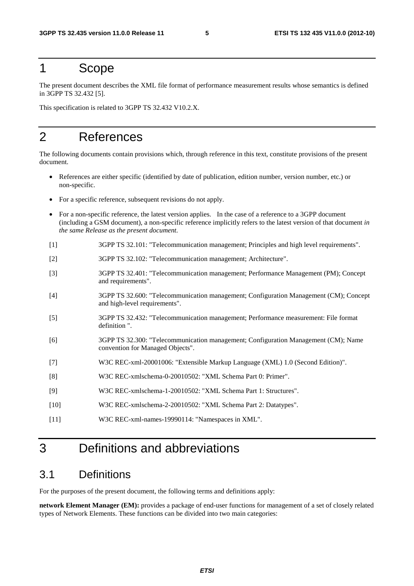#### 1 Scope

The present document describes the XML file format of performance measurement results whose semantics is defined in 3GPP TS 32.432 [5].

This specification is related to 3GPP TS 32.432 V10.2.X.

#### 2 References

The following documents contain provisions which, through reference in this text, constitute provisions of the present document.

- References are either specific (identified by date of publication, edition number, version number, etc.) or non-specific.
- For a specific reference, subsequent revisions do not apply.
- For a non-specific reference, the latest version applies. In the case of a reference to a 3GPP document (including a GSM document), a non-specific reference implicitly refers to the latest version of that document *in the same Release as the present document*.
- [1] 3GPP TS 32.101: "Telecommunication management; Principles and high level requirements".
- [2] 3GPP TS 32.102: "Telecommunication management; Architecture".
- [3] 3GPP TS 32.401: "Telecommunication management; Performance Management (PM); Concept and requirements".
- [4] 3GPP TS 32.600: "Telecommunication management; Configuration Management (CM); Concept and high-level requirements".
- [5] 3GPP TS 32.432: "Telecommunication management; Performance measurement: File format definition ".
- [6] 3GPP TS 32.300: "Telecommunication management; Configuration Management (CM); Name convention for Managed Objects".
- [7] W3C REC-xml-20001006: "Extensible Markup Language (XML) 1.0 (Second Edition)".
- [8] W3C REC-xmlschema-0-20010502: "XML Schema Part 0: Primer".
- [9] W3C REC-xmlschema-1-20010502: "XML Schema Part 1: Structures".
- [10] W3C REC-xmlschema-2-20010502: "XML Schema Part 2: Datatypes".
- [11] W3C REC-xml-names-19990114: "Namespaces in XML".

### 3 Definitions and abbreviations

#### 3.1 Definitions

For the purposes of the present document, the following terms and definitions apply:

**network Element Manager (EM):** provides a package of end-user functions for management of a set of closely related types of Network Elements. These functions can be divided into two main categories: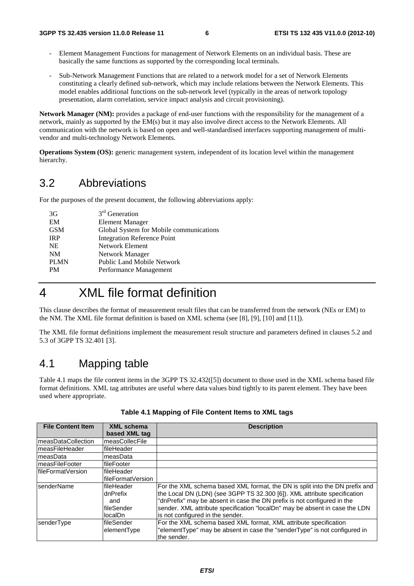- Element Management Functions for management of Network Elements on an individual basis. These are basically the same functions as supported by the corresponding local terminals.
- Sub-Network Management Functions that are related to a network model for a set of Network Elements constituting a clearly defined sub-network, which may include relations between the Network Elements. This model enables additional functions on the sub-network level (typically in the areas of network topology presentation, alarm correlation, service impact analysis and circuit provisioning).

**Network Manager (NM):** provides a package of end-user functions with the responsibility for the management of a network, mainly as supported by the EM(s) but it may also involve direct access to the Network Elements. All communication with the network is based on open and well-standardised interfaces supporting management of multivendor and multi-technology Network Elements.

**Operations System (OS):** generic management system, independent of its location level within the management hierarchy.

#### 3.2 Abbreviations

For the purposes of the present document, the following abbreviations apply:

| 3G          | $3rd$ Generation                        |
|-------------|-----------------------------------------|
| EM          | <b>Element Manager</b>                  |
| <b>GSM</b>  | Global System for Mobile communications |
| <b>IRP</b>  | <b>Integration Reference Point</b>      |
| <b>NE</b>   | Network Element                         |
| <b>NM</b>   | Network Manager                         |
| <b>PLMN</b> | <b>Public Land Mobile Network</b>       |
| <b>PM</b>   | Performance Management                  |
|             |                                         |

### 4 XML file format definition

This clause describes the format of measurement result files that can be transferred from the network (NEs or EM) to the NM. The XML file format definition is based on XML schema (see [8], [9], [10] and [11]).

The XML file format definitions implement the measurement result structure and parameters defined in clauses 5.2 and 5.3 of 3GPP TS 32.401 [3].

#### 4.1 Mapping table

Table 4.1 maps the file content items in the 3GPP TS 32.432([5]) document to those used in the XML schema based file format definitions. XML tag attributes are useful where data values bind tightly to its parent element. They have been used where appropriate.

| <b>File Content Item</b>  | <b>XML</b> schema  | <b>Description</b>                                                          |  |  |
|---------------------------|--------------------|-----------------------------------------------------------------------------|--|--|
|                           | based XML tag      |                                                                             |  |  |
| ImeasDataCollection       | measCollecFile     |                                                                             |  |  |
| ImeasFileHeader           | fileHeader         |                                                                             |  |  |
| ImeasData                 | measData           |                                                                             |  |  |
| <b>ImeasFileFooter</b>    | <b>IfileFooter</b> |                                                                             |  |  |
| <b>IfileFormatVersion</b> | lfileHeader        |                                                                             |  |  |
|                           | IfileFormatVersion |                                                                             |  |  |
| <b>IsenderName</b>        | lfileHeader        | For the XML schema based XML format, the DN is split into the DN prefix and |  |  |
|                           | dnPrefix           | the Local DN (LDN) (see 3GPP TS 32.300 [6]). XML attribute specification    |  |  |
|                           | and                | "dnPrefix" may be absent in case the DN prefix is not configured in the     |  |  |
|                           | <b>fileSender</b>  | sender. XML attribute specification "localDn" may be absent in case the LDN |  |  |
|                           | localDn            | is not configured in the sender.                                            |  |  |
| senderType                | fileSender         | For the XML schema based XML format, XML attribute specification            |  |  |
|                           | elementType        | "elementType" may be absent in case the "senderType" is not configured in   |  |  |
|                           |                    | the sender.                                                                 |  |  |

#### **Table 4.1 Mapping of File Content Items to XML tags**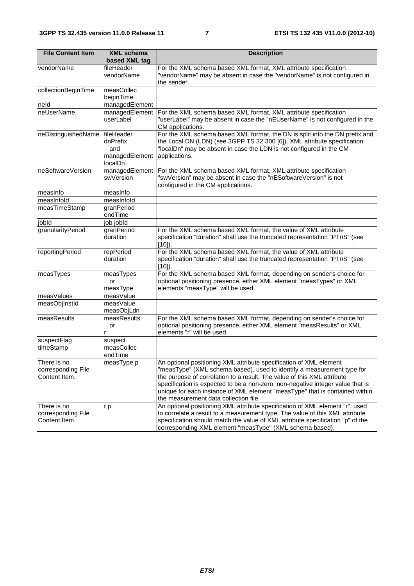| <b>File Content Item</b>                           | <b>XML schema</b><br>based XML tag                         | <b>Description</b>                                                                                                                                                                                                                                                                                                                                                                                                                |
|----------------------------------------------------|------------------------------------------------------------|-----------------------------------------------------------------------------------------------------------------------------------------------------------------------------------------------------------------------------------------------------------------------------------------------------------------------------------------------------------------------------------------------------------------------------------|
| vendorName                                         | fileHeader<br>vendorName                                   | For the XML schema based XML format, XML attribute specification<br>"vendorName" may be absent in case the "vendorName" is not configured in<br>the sender.                                                                                                                                                                                                                                                                       |
| collectionBeginTime                                | measCollec<br>beginTime                                    |                                                                                                                                                                                                                                                                                                                                                                                                                                   |
| neld                                               | managedElement                                             |                                                                                                                                                                                                                                                                                                                                                                                                                                   |
| neUserName                                         | managedElement<br>userLabel                                | For the XML schema based XML format, XML attribute specification<br>"userLabel" may be absent in case the "nEUserName" is not configured in the<br>CM applications.                                                                                                                                                                                                                                                               |
| neDistinguishedName                                | fileHeader<br>dnPrefix<br>and<br>managedElement<br>localDn | For the XML schema based XML format, the DN is split into the DN prefix and<br>the Local DN (LDN) (see 3GPP TS 32.300 [6]). XML attribute specification<br>"localDn" may be absent in case the LDN is not configured in the CM<br>applications.                                                                                                                                                                                   |
| neSoftwareVersion                                  | managedElement<br>swVersion                                | For the XML schema based XML format, XML attribute specification<br>"swVersion" may be absent in case the "nESoftwareVersion" is not<br>configured in the CM applications.                                                                                                                                                                                                                                                        |
| measinfo                                           | measInfo                                                   |                                                                                                                                                                                                                                                                                                                                                                                                                                   |
| measInfold                                         | meashhold                                                  |                                                                                                                                                                                                                                                                                                                                                                                                                                   |
| measTimeStamp                                      | granPeriod<br>endTime                                      |                                                                                                                                                                                                                                                                                                                                                                                                                                   |
| jobld                                              | job jobld                                                  |                                                                                                                                                                                                                                                                                                                                                                                                                                   |
| granularityPeriod                                  | granPeriod<br>duration                                     | For the XML schema based XML format, the value of XML attribute<br>specification "duration" shall use the truncated representation "PTnS" (see<br>$[10]$ .                                                                                                                                                                                                                                                                        |
| reportingPeriod                                    | repPeriod<br>duration                                      | For the XML schema based XML format, the value of XML attribute<br>specification "duration" shall use the truncated representation "PTnS" (see<br>$[10]$ ).                                                                                                                                                                                                                                                                       |
| measTypes                                          | measTypes<br>or<br>measType                                | For the XML schema based XML format, depending on sender's choice for<br>optional positioning presence, either XML element "measTypes" or XML<br>elements "measType" will be used.                                                                                                                                                                                                                                                |
| meas Values                                        | measValue                                                  |                                                                                                                                                                                                                                                                                                                                                                                                                                   |
| measObjInstId                                      | measValue<br>measObjLdn                                    |                                                                                                                                                                                                                                                                                                                                                                                                                                   |
| measResults                                        | measResults<br>or                                          | For the XML schema based XML format, depending on sender's choice for<br>optional positioning presence, either XML element "measResults" or XML<br>elements "r" will be used.                                                                                                                                                                                                                                                     |
| suspectFlag                                        | suspect                                                    |                                                                                                                                                                                                                                                                                                                                                                                                                                   |
| timeStamp                                          | measCollec<br>endTime                                      |                                                                                                                                                                                                                                                                                                                                                                                                                                   |
| There is no<br>corresponding File<br>Content Item. | measType p                                                 | An optional positioning XML attribute specification of XML element<br>"measType" (XML schema based), used to identify a measurement type for<br>the purpose of correlation to a result. The value of this XML attribute<br>specification is expected to be a non-zero, non-negative integer value that is<br>unique for each instance of XML element "measType" that is contained within<br>the measurement data collection file. |
| There is no<br>corresponding File<br>Content Item. | r p                                                        | An optional positioning XML attribute specification of XML element "r", used<br>to correlate a result to a measurement type. The value of this XML attribute<br>specification should match the value of XML attribute specification "p" of the<br>corresponding XML element "measType" (XML schema based).                                                                                                                        |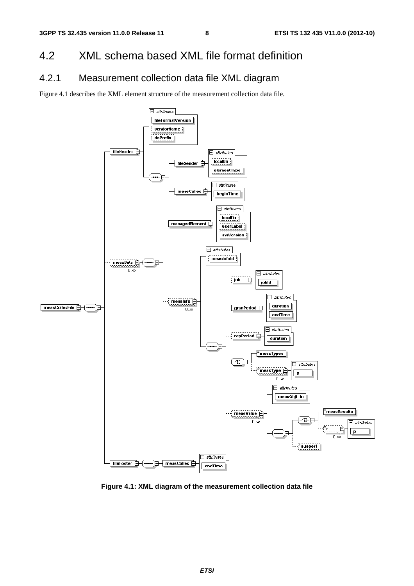#### 4.2 XML schema based XML file format definition

#### 4.2.1 Measurement collection data file XML diagram

Figure 4.1 describes the XML element structure of the measurement collection data file.



**Figure 4.1: XML diagram of the measurement collection data file**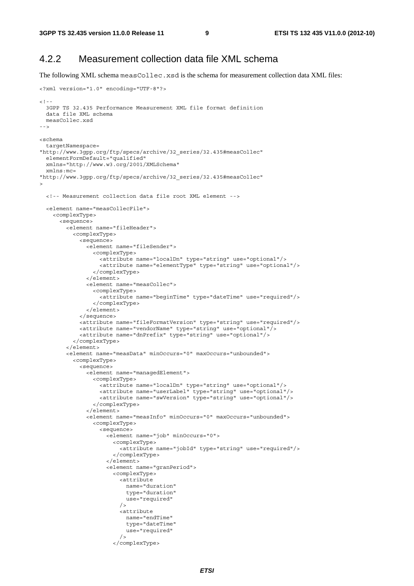<?xml version="1.0" encoding="UTF-8"?>

#### 4.2.2 Measurement collection data file XML schema

The following XML schema measCollec.xsd is the schema for measurement collection data XML files:

```
<! - -
  3GPP TS 32.435 Performance Measurement XML file format definition 
  data file XML schema 
  measCollec.xsd 
--<schema 
  targetNamespace= 
"http://www.3gpp.org/ftp/specs/archive/32_series/32.435#measCollec" 
  elementFormDefault="qualified" 
  xmlns="http://www.w3.org/2001/XMLSchema" 
  xmlns:mc= 
"http://www.3gpp.org/ftp/specs/archive/32_series/32.435#measCollec" 
> 
  <!-- Measurement collection data file root XML element --> 
   <element name="measCollecFile"> 
     <complexType> 
       <sequence> 
         <element name="fileHeader"> 
           <complexType> 
             <sequence> 
               <element name="fileSender"> 
                 <complexType> 
                    <attribute name="localDn" type="string" use="optional"/> 
                    <attribute name="elementType" type="string" use="optional"/> 
                 </complexType> 
               </element> 
               <element name="measCollec"> 
                 <complexType> 
                    <attribute name="beginTime" type="dateTime" use="required"/> 
                 </complexType> 
               </element> 
             </sequence> 
             <attribute name="fileFormatVersion" type="string" use="required"/> 
             <attribute name="vendorName" type="string" use="optional"/> 
             <attribute name="dnPrefix" type="string" use="optional"/> 
           </complexType> 
         </element> 
         <element name="measData" minOccurs="0" maxOccurs="unbounded"> 
           <complexType> 
             <sequence> 
               <element name="managedElement"> 
                 <complexType> 
                   <attribute name="localDn" type="string" use="optional"/> 
                    <attribute name="userLabel" type="string" use="optional"/> 
                    <attribute name="swVersion" type="string" use="optional"/> 
                  </complexType> 
               </element> 
              <element name="measInfo" minOccurs="0" maxOccurs="unbounded">
                 <complexType> 
                    <sequence> 
                     <element name="job" minOccurs="0"> 
                        <complexType> 
                          <attribute name="jobId" type="string" use="required"/> 
                        </complexType> 
                      </element> 
                      <element name="granPeriod"> 
                        <complexType> 
                          <attribute 
                            name="duration" 
                            type="duration" 
                            use="required" 
 /> 
                          <attribute 
                            name="endTime" 
                            type="dateTime" 
                            use="required" 
 /> 
                        </complexType>
```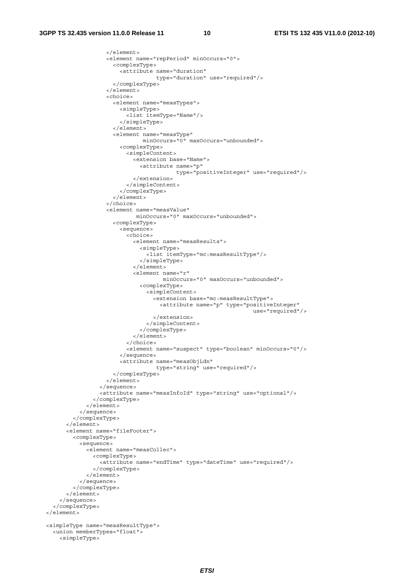```
 </element> 
                     <element name="repPeriod" minOccurs="0"> 
                       <complexType> 
                         <attribute name="duration" 
                                     type="duration" use="required"/> 
                       </complexType> 
                     </element> 
                     <choice> 
                       <element name="measTypes"> 
                         <simpleType> 
                           <list itemType="Name"/> 
                         </simpleType> 
                      \epsilon/element>
                       <element name="measType" 
                                minOccurs="0" maxOccurs="unbounded"> 
                         <complexType> 
                           <simpleContent> 
                              <extension base="Name"> 
                                <attribute name="p" 
                                            type="positiveInteger" use="required"/> 
                              </extension> 
                           </simpleContent> 
                         </complexType> 
                       </element> 
                     </choice> 
                     <element name="measValue" 
                              minOccurs="0" maxOccurs="unbounded"> 
                       <complexType> 
                         <sequence> 
                          choics <element name="measResults"> 
                                <simpleType> 
                                  <list itemType="mc:measResultType"/> 
                                </simpleType> 
                              </element> 
                              <element name="r" 
                                       minOccurs="0" maxOccurs="unbounded"> 
                                <complexType> 
                                  <simpleContent> 
                                    <extension base="mc:measResultType"> 
                                       <attribute name="p" type="positiveInteger" 
                                                                      use="required"/> 
                                    </extension> 
                                  </simpleContent> 
                                </complexType> 
                              </element> 
                           </choice> 
                           <element name="suspect" type="boolean" minOccurs="0"/> 
                         </sequence> 
                         <attribute name="measObjLdn" 
                                     type="string" use="required"/> 
                       </complexType> 
                     </element> 
                  </sequence> 
                  <attribute name="measInfoId" type="string" use="optional"/> 
                </complexType> 
              </element> 
            </sequence> 
         </complexType> 
      \epsilon/elements
       <element name="fileFooter"> 
         <complexType> 
           <sequence> 
              <element name="measCollec"> 
                <complexType> 
                  <attribute name="endTime" type="dateTime" use="required"/> 
                </complexType> 
              </element> 
            </sequence> 
         </complexType> 
       </element> 
     </sequence> 
   </complexType> 
 </element> 
 <simpleType name="measResultType"> 
   <union memberTypes="float"> 
     <simpleType>
```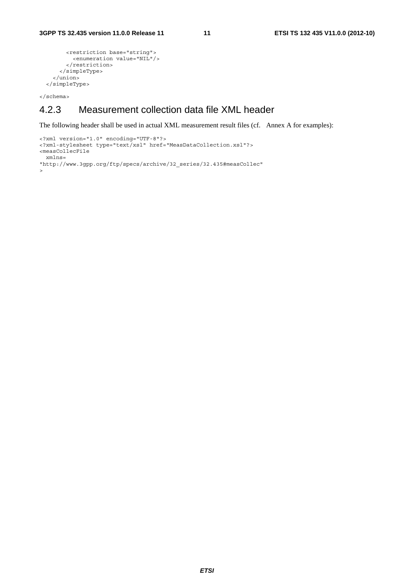```
 <restriction base="string"> 
         <enumeration value="NIL"/> 
       </restriction> 
     </simpleType> 
   </union> 
 </simpleType>
```
</schema>

#### 4.2.3 Measurement collection data file XML header

The following header shall be used in actual XML measurement result files (cf. Annex A for examples):

```
<?xml version="1.0" encoding="UTF-8"?> 
<?xml-stylesheet type="text/xsl" href="MeasDataCollection.xsl"?> 
<measCollecFile 
  xmlns= 
"http://www.3gpp.org/ftp/specs/archive/32_series/32.435#measCollec" 
>
```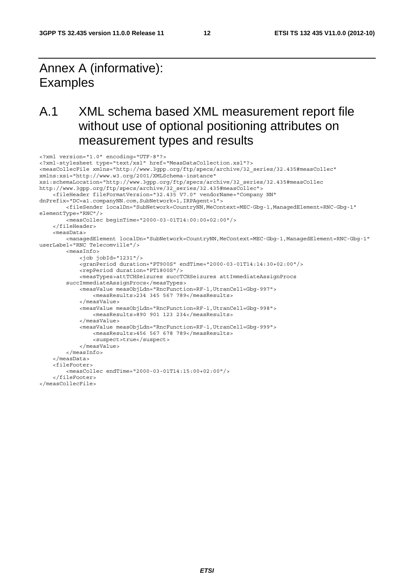### Annex A (informative): **Examples**

### A.1 XML schema based XML measurement report file without use of optional positioning attributes on measurement types and results

```
<?xml version="1.0" encoding="UTF-8"?> 
<?xml-stylesheet type="text/xsl" href="MeasDataCollection.xsl"?> 
<measCollecFile xmlns="http://www.3gpp.org/ftp/specs/archive/32_series/32.435#measCollec" 
xmlns:xsi="http://www.w3.org/2001/XMLSchema-instance" 
xsi:schemaLocation="http://www.3gpp.org/ftp/specs/archive/32_series/32.435#measCollec 
http://www.3gpp.org/ftp/specs/archive/32_series/32.435#measCollec"> 
     <fileHeader fileFormatVersion="32.435 V7.0" vendorName="Company NN" 
dnPrefix="DC=a1.companyNN.com,SubNetwork=1,IRPAgent=1">
         <fileSender localDn="SubNetwork=CountryNN,MeContext=MEC-Gbg-1,ManagedElement=RNC-Gbg-1" 
elementType="RNC"/> 
         <measCollec beginTime="2000-03-01T14:00:00+02:00"/> 
     </fileHeader> 
     <measData> 
         <managedElement localDn="SubNetwork=CountryNN,MeContext=MEC-Gbg-1,ManagedElement=RNC-Gbg-1" 
userLabel="RNC Telecomville"/> 
         <measInfo> 
             <job jobId="1231"/> 
             <granPeriod duration="PT900S" endTime="2000-03-01T14:14:30+02:00"/> 
             <repPeriod duration="PT1800S"/> 
             <measTypes>attTCHSeizures succTCHSeizures attImmediateAssignProcs 
         succImmediateAssignProcs</measTypes> 
             <measValue measObjLdn="RncFunction=RF-1,UtranCell=Gbg-997"> 
                 <measResults>234 345 567 789</measResults> 
             </measValue> 
             <measValue measObjLdn="RncFunction=RF-1,UtranCell=Gbg-998"> 
                 <measResults>890 901 123 234</measResults> 
             </measValue> 
             <measValue measObjLdn="RncFunction=RF-1,UtranCell=Gbg-999"> 
                 <measResults>456 567 678 789</measResults> 
                  <suspect>true</suspect> 
             </measValue> 
         </measInfo> 
    z/meacData\sim <fileFooter> 
         <measCollec endTime="2000-03-01T14:15:00+02:00"/> 
     </fileFooter> 
</measCollecFile>
```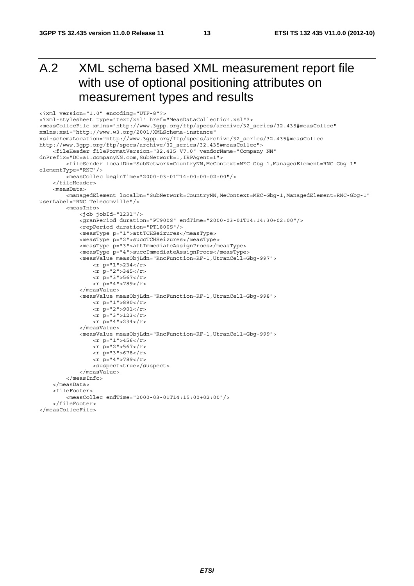### A.2 XML schema based XML measurement report file with use of optional positioning attributes on measurement types and results

```
<?xml version="1.0" encoding="UTF-8"?> 
<?xml-stylesheet type="text/xsl" href="MeasDataCollection.xsl"?> 
<measCollecFile xmlns="http://www.3gpp.org/ftp/specs/archive/32_series/32.435#measCollec" 
xmlns:xsi="http://www.w3.org/2001/XMLSchema-instance" 
xsi:schemaLocation="http://www.3gpp.org/ftp/specs/archive/32_series/32.435#measCollec 
http://www.3gpp.org/ftp/specs/archive/32_series/32.435#measCollec"> 
     <fileHeader fileFormatVersion="32.435 V7.0" vendorName="Company NN" 
dnPrefix="DC=a1.companyNN.com,SubNetwork=1,IRPAgent=1"> 
          <fileSender localDn="SubNetwork=CountryNN,MeContext=MEC-Gbg-1,ManagedElement=RNC-Gbg-1" 
elementType="RNC"/> 
          <measCollec beginTime="2000-03-01T14:00:00+02:00"/> 
     </fileHeader> 
     <measData> 
         <managedElement localDn="SubNetwork=CountryNN,MeContext=MEC-Gbg-1,ManagedElement=RNC-Gbg-1" 
userLabel="RNC Telecomville"/> 
          <measInfo> 
              <job jobId="1231"/> 
              <granPeriod duration="PT900S" endTime="2000-03-01T14:14:30+02:00"/> 
              <repPeriod duration="PT1800S"/> 
              <measType p="1">attTCHSeizures</measType> 
              <measType p="2">succTCHSeizures</measType> 
              <measType p="3">attImmediateAssignProcs</measType> 
              <measType p="4">succImmediateAssignProcs</measType> 
              <measValue measObjLdn="RncFunction=RF-1,UtranCell=Gbg-997"> 
                  < r p="1">234</r>
                  <r p="2">345</r>
                  \frac{1}{2} \frac{1}{2} = "3" > 567 </r></r>
                 \bar{r} p="4">789</r>
              </measValue> 
              <measValue measObjLdn="RncFunction=RF-1,UtranCell=Gbg-998"> 
                 \langle r \rangle p="1">890</r>
                  \frac{1}{2} = "2">901</r>
                 \langle r \rangle = 3" > 123 \langle r \rangle\langle r \rangle p="4">234</r></r>>
              </measValue> 
              <measValue measObjLdn="RncFunction=RF-1,UtranCell=Gbg-999"> 
                  <r p="1">456</r>
                  <r p="2">567</r>
                 <r p="3">678</r>
                 <r p="4">789</r>
                  <suspect>true</suspect> 
              </measValue> 
          </measInfo> 
     </measData> 
     <fileFooter> 
          <measCollec endTime="2000-03-01T14:15:00+02:00"/> 
    \epsilon/fileFooters
</measCollecFile>
```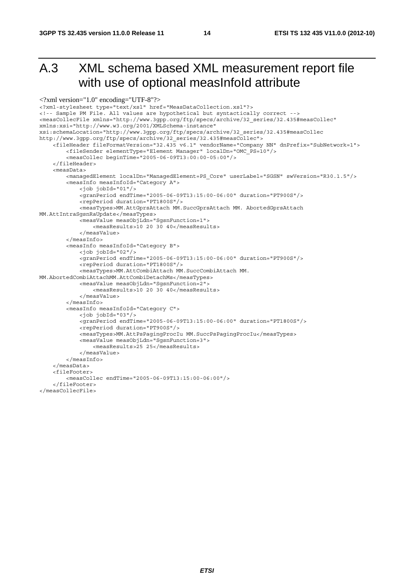### A.3 XML schema based XML measurement report file with use of optional measInfoId attribute

```
<?xml version="1.0" encoding="UTF-8"?>
<?xml-stylesheet type="text/xsl" href="MeasDataCollection.xsl"?> 
<!-- Sample PM File. All values are hypothetical but syntactically correct --> 
<measCollecFile xmlns="http://www.3gpp.org/ftp/specs/archive/32_series/32.435#measCollec" 
xmlns:xsi="http://www.w3.org/2001/XMLSchema-instance" 
xsi:schemaLocation="http://www.3gpp.org/ftp/specs/archive/32_series/32.435#measCollec 
http://www.3gpp.org/ftp/specs/archive/32_series/32.435#measCollec"> 
     <fileHeader fileFormatVersion="32.435 v6.1" vendorName="Company NN" dnPrefix="SubNetwork=1"> 
         <fileSender elementType="Element Manager" localDn="OMC_PS=10"/> 
         <measCollec beginTime="2005-06-09T13:00:00-05:00"/> 
     </fileHeader> 
     <measData> 
         <managedElement localDn="ManagedElement=PS_Core" userLabel="SGSN" swVersion="R30.1.5"/> 
         <measInfo measInfoId="Category A"> 
             <job jobId="01"/> 
             <granPeriod endTime="2005-06-09T13:15:00-06:00" duration="PT900S"/> 
             <repPeriod duration="PT1800S"/> 
             <measTypes>MM.AttGprsAttach MM.SuccGprsAttach MM. AbortedGprsAttach 
MM.AttIntraSgsnRaUpdate</measTypes> 
             <measValue measObjLdn="SgsnFunction=1"> 
                 <measResults>10 20 30 40</measResults> 
             </measValue> 
         </measInfo> 
         <measInfo measInfoId="Category B"> 
             <job jobId="02"/> 
             <granPeriod endTime="2005-06-09T13:15:00-06:00" duration="PT900S"/> 
             <repPeriod duration="PT1800S"/> 
             <measTypes>MM.AttCombiAttach MM.SuccCombiAttach MM. 
MM.AbortedCombiAttachMM.AttCombiDetachMs</measTypes> 
             <measValue measObjLdn="SgsnFunction=2"> 
                  <measResults>10 20 30 40</measResults> 
             </measValue> 
         </measInfo> 
         <measInfo measInfoId="Category C"> 
             <job jobId="03"/> 
             <granPeriod endTime="2005-06-09T13:15:00-06:00" duration="PT1800S"/> 
             <repPeriod duration="PT900S"/> 
             <measTypes>MM.AttPsPagingProcIu MM.SuccPsPagingProcIu</measTypes> 
             <measValue measObjLdn="SgsnFunction=3"> 
                  <measResults>25 25</measResults> 
             </measValue> 
         </measInfo> 
     </measData> 
     <fileFooter> 
         <measCollec endTime="2005-06-09T13:15:00-06:00"/> 
     </fileFooter> 
</measCollecFile>
```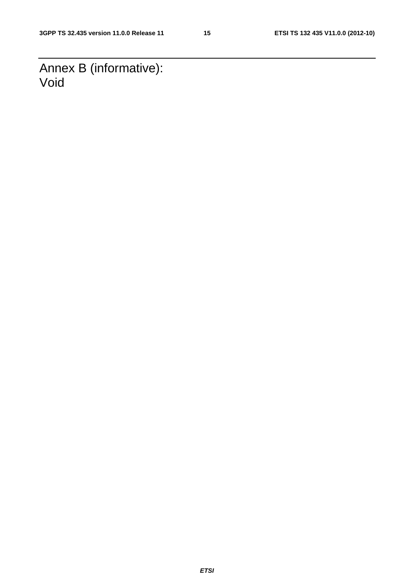Annex B (informative): Void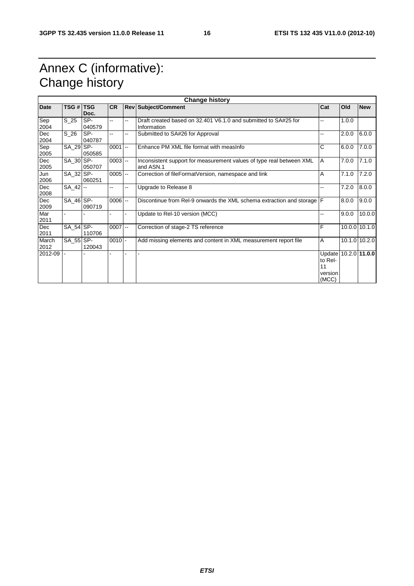### Annex C (informative): Change history

| <b>Change history</b> |               |               |            |    |                                                                                   |                                                           |       |               |
|-----------------------|---------------|---------------|------------|----|-----------------------------------------------------------------------------------|-----------------------------------------------------------|-------|---------------|
| <b>Date</b>           | TSG #   TSG   | Doc.          | <b>CR</b>  |    | <b>Rev Subject/Comment</b>                                                        | Cat                                                       | Old   | <b>New</b>    |
| Sep<br>2004           | $S_25$        | SP-<br>040579 | Ξ.         | ۵. | Draft created based on 32.401 V6.1.0 and submitted to SA#25 for<br>Information    | --                                                        | 1.0.0 |               |
| Dec<br>2004           | $S_2$         | SP-<br>040787 | --         |    | Submitted to SA#26 for Approval                                                   | --                                                        | 2.0.0 | 6.0.0         |
| Sep<br>2005           | SA 29 SP-     | 050585        | $0001$ --  |    | Enhance PM XML file format with measinfo                                          | C                                                         | 6.0.0 | 7.0.0         |
| Dec<br>2005           | SA_30 SP-     | 050707        | $0003$ $-$ |    | Inconsistent support for measurement values of type real between XML<br>and ASN.1 | A                                                         | 7.0.0 | 7.1.0         |
| Jun<br>2006           | SA 32 SP-     | 060251        | $0005$ $-$ |    | Correction of fileFormatVersion, namespace and link                               | A                                                         | 7.1.0 | 7.2.0         |
| Dec<br>2008           | $SA_42$ --    |               | н.         | н. | Upgrade to Release 8                                                              | --                                                        | 7.2.0 | 8.0.0         |
| Dec<br>2009           | SA_46 SP-     | 090719        | $0006$ $-$ |    | Discontinue from Rel-9 onwards the XML schema extraction and storage F            |                                                           | 8.0.0 | 9.0.0         |
| Mar<br>2011           |               |               |            |    | Update to Rel-10 version (MCC)                                                    |                                                           | 9.0.0 | 10.0.0        |
| Dec<br>2011           | SA_54 SP-     | 110706        | $0007$ --  |    | Correction of stage-2 TS reference                                                | F                                                         |       | 10.0.0 10.1.0 |
| March<br>2012         | $SA$ 55 $SP-$ | 120043        | $0010$ -   |    | Add missing elements and content in XML measurement report file                   | A                                                         |       | 10.1.0 10.2.0 |
| 2012-09               |               |               |            |    |                                                                                   | Update 10.2.0 11.0.0<br>to Rel-<br>11<br>version<br>(MCC) |       |               |